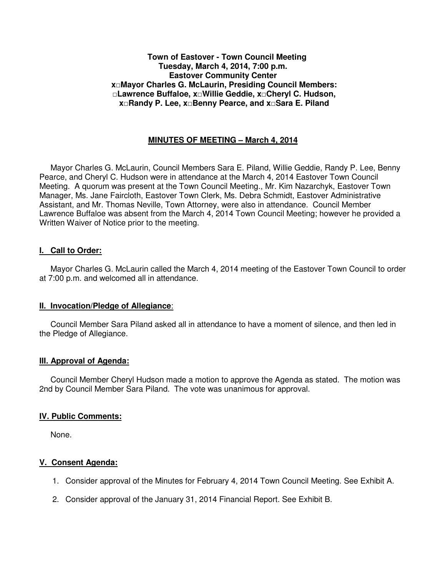#### **Town of Eastover - Town Council Meeting Tuesday, March 4, 2014, 7:00 p.m. Eastover Community Center x□Mayor Charles G. McLaurin, Presiding Council Members: □Lawrence Buffaloe, x□Willie Geddie, x□Cheryl C. Hudson, x□Randy P. Lee, x□Benny Pearce, and x□Sara E. Piland**

### **MINUTES OF MEETING – March 4, 2014**

 Mayor Charles G. McLaurin, Council Members Sara E. Piland, Willie Geddie, Randy P. Lee, Benny Pearce, and Cheryl C. Hudson were in attendance at the March 4, 2014 Eastover Town Council Meeting. A quorum was present at the Town Council Meeting., Mr. Kim Nazarchyk, Eastover Town Manager, Ms. Jane Faircloth, Eastover Town Clerk, Ms. Debra Schmidt, Eastover Administrative Assistant, and Mr. Thomas Neville, Town Attorney, were also in attendance. Council Member Lawrence Buffaloe was absent from the March 4, 2014 Town Council Meeting; however he provided a Written Waiver of Notice prior to the meeting.

#### **I. Call to Order:**

 Mayor Charles G. McLaurin called the March 4, 2014 meeting of the Eastover Town Council to order at 7:00 p.m. and welcomed all in attendance.

#### **II. Invocation/Pledge of Allegiance**:

 Council Member Sara Piland asked all in attendance to have a moment of silence, and then led in the Pledge of Allegiance.

#### **III. Approval of Agenda:**

 Council Member Cheryl Hudson made a motion to approve the Agenda as stated. The motion was 2nd by Council Member Sara Piland. The vote was unanimous for approval.

#### **IV. Public Comments:**

None.

### **V. Consent Agenda:**

- 1. Consider approval of the Minutes for February 4, 2014 Town Council Meeting. See Exhibit A.
- 2. Consider approval of the January 31, 2014 Financial Report. See Exhibit B.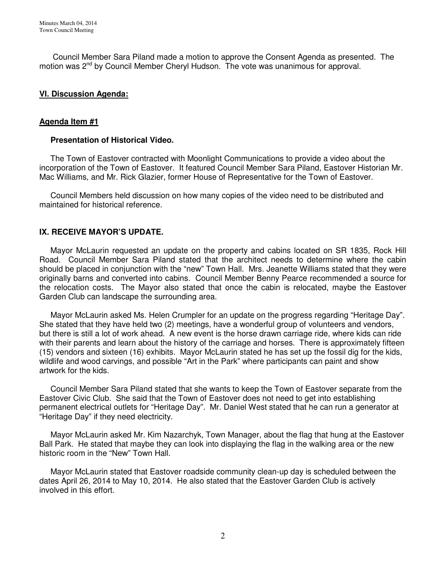Council Member Sara Piland made a motion to approve the Consent Agenda as presented. The motion was 2<sup>nd</sup> by Council Member Cheryl Hudson. The vote was unanimous for approval.

### **VI. Discussion Agenda:**

### **Agenda Item #1**

#### **Presentation of Historical Video.**

 The Town of Eastover contracted with Moonlight Communications to provide a video about the incorporation of the Town of Eastover. It featured Council Member Sara Piland, Eastover Historian Mr. Mac Williams, and Mr. Rick Glazier, former House of Representative for the Town of Eastover.

 Council Members held discussion on how many copies of the video need to be distributed and maintained for historical reference.

## **IX. RECEIVE MAYOR'S UPDATE.**

 Mayor McLaurin requested an update on the property and cabins located on SR 1835, Rock Hill Road. Council Member Sara Piland stated that the architect needs to determine where the cabin should be placed in conjunction with the "new" Town Hall. Mrs. Jeanette Williams stated that they were originally barns and converted into cabins. Council Member Benny Pearce recommended a source for the relocation costs. The Mayor also stated that once the cabin is relocated, maybe the Eastover Garden Club can landscape the surrounding area.

 Mayor McLaurin asked Ms. Helen Crumpler for an update on the progress regarding "Heritage Day". She stated that they have held two (2) meetings, have a wonderful group of volunteers and vendors, but there is still a lot of work ahead. A new event is the horse drawn carriage ride, where kids can ride with their parents and learn about the history of the carriage and horses. There is approximately fifteen (15) vendors and sixteen (16) exhibits. Mayor McLaurin stated he has set up the fossil dig for the kids, wildlife and wood carvings, and possible "Art in the Park" where participants can paint and show artwork for the kids.

 Council Member Sara Piland stated that she wants to keep the Town of Eastover separate from the Eastover Civic Club. She said that the Town of Eastover does not need to get into establishing permanent electrical outlets for "Heritage Day". Mr. Daniel West stated that he can run a generator at "Heritage Day" if they need electricity.

 Mayor McLaurin asked Mr. Kim Nazarchyk, Town Manager, about the flag that hung at the Eastover Ball Park. He stated that maybe they can look into displaying the flag in the walking area or the new historic room in the "New" Town Hall.

 Mayor McLaurin stated that Eastover roadside community clean-up day is scheduled between the dates April 26, 2014 to May 10, 2014. He also stated that the Eastover Garden Club is actively involved in this effort.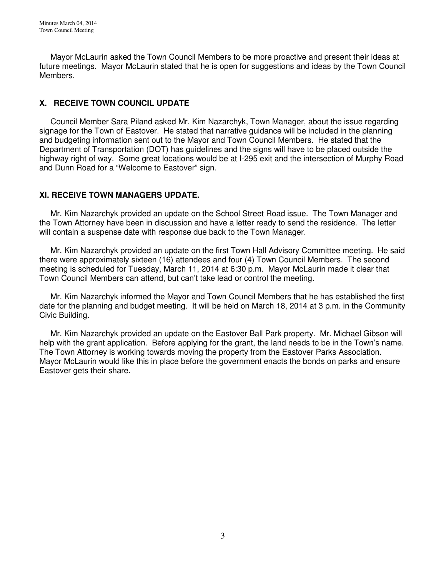Mayor McLaurin asked the Town Council Members to be more proactive and present their ideas at future meetings. Mayor McLaurin stated that he is open for suggestions and ideas by the Town Council Members.

# **X. RECEIVE TOWN COUNCIL UPDATE**

 Council Member Sara Piland asked Mr. Kim Nazarchyk, Town Manager, about the issue regarding signage for the Town of Eastover. He stated that narrative guidance will be included in the planning and budgeting information sent out to the Mayor and Town Council Members. He stated that the Department of Transportation (DOT) has guidelines and the signs will have to be placed outside the highway right of way. Some great locations would be at I-295 exit and the intersection of Murphy Road and Dunn Road for a "Welcome to Eastover" sign.

## **XI. RECEIVE TOWN MANAGERS UPDATE.**

 Mr. Kim Nazarchyk provided an update on the School Street Road issue. The Town Manager and the Town Attorney have been in discussion and have a letter ready to send the residence. The letter will contain a suspense date with response due back to the Town Manager.

 Mr. Kim Nazarchyk provided an update on the first Town Hall Advisory Committee meeting. He said there were approximately sixteen (16) attendees and four (4) Town Council Members. The second meeting is scheduled for Tuesday, March 11, 2014 at 6:30 p.m. Mayor McLaurin made it clear that Town Council Members can attend, but can't take lead or control the meeting.

 Mr. Kim Nazarchyk informed the Mayor and Town Council Members that he has established the first date for the planning and budget meeting. It will be held on March 18, 2014 at 3 p.m. in the Community Civic Building.

 Mr. Kim Nazarchyk provided an update on the Eastover Ball Park property. Mr. Michael Gibson will help with the grant application. Before applying for the grant, the land needs to be in the Town's name. The Town Attorney is working towards moving the property from the Eastover Parks Association. Mayor McLaurin would like this in place before the government enacts the bonds on parks and ensure Eastover gets their share.